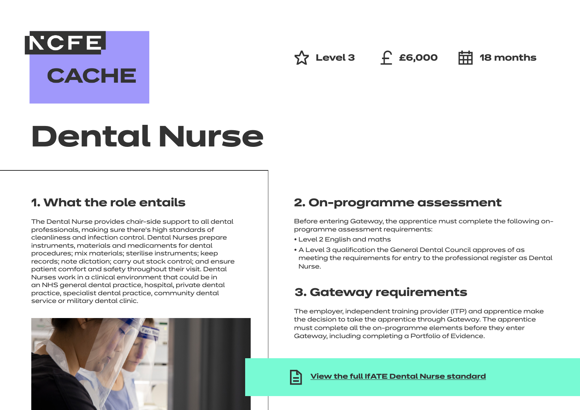## **NCFE**

**CACHE** 

 $\hat{X}$  Level 3 f **£6,000 中** 18 months

# **Dental Nurse**

## **1. What the role entails**

The Dental Nurse provides chair-side support to all dental professionals, making sure there's high standards of cleanliness and infection control. Dental Nurses prepare instruments, materials and medicaments for dental procedures; mix materials; sterilise instruments; keep records; note dictation; carry out stock control; and ensure patient comfort and safety throughout their visit. Dental Nurses work in a clinical environment that could be in an NHS general dental practice, hospital, private dental practice, specialist dental practice, community dental service or military dental clinic.

## **2. On-programme assessment**

Before entering Gateway, the apprentice must complete the following onprogramme assessment requirements:

- Level 2 English and maths
- A Level 3 qualification the General Dental Council approves of as meeting the requirements for entry to the professional register as Dental Nurse.

## **3. Gateway requirements**

The employer, independent training provider (ITP) and apprentice make the decision to take the apprentice through Gateway. The apprentice must complete all the on-programme elements before they enter Gateway, including completing a Portfolio of Evidence.